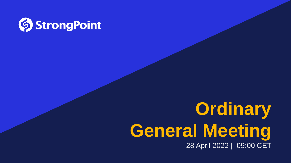

# **Ordinary General Meeting** 28 April 2022 | 09:00 CET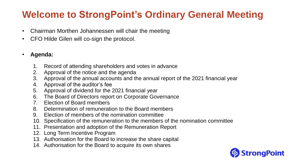## **Welcome to StrongPoint's Ordinary General Meeting**

- Chairman Morthen Johannessen will chair the meeting
- CFO Hilde Gilen will co-sign the protocol.

### • **Agenda:**

- 1. Record of attending shareholders and votes in advance
- 2. Approval of the notice and the agenda
- 3. Approval of the annual accounts and the annual report of the 2021 financial year
- 4. Approval of the auditor's fee
- 5. Approval of dividend for the 2021 financial year
- 6. The Board of Directors report on Corporate Governance
- 7. Election of Board members
- 8. Determination of remuneration to the Board members
- 9. Election of members of the nomination committee
- 10. Specification of the remuneration to the members of the nomination committee
- 11. Presentation and adoption of the Remuneration Report
- 12. Long Term Incentive Program
- 13. Authorisation for the Board to increase the share capital
- 14. Authorisation for the Board to acquire its own shares

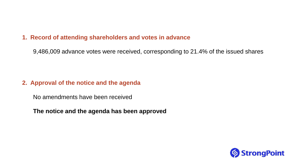### **1. Record of attending shareholders and votes in advance**

9,486,009 advance votes were received, corresponding to 21.4% of the issued shares

### **2. Approval of the notice and the agenda**

No amendments have been received

**The notice and the agenda has been approved**

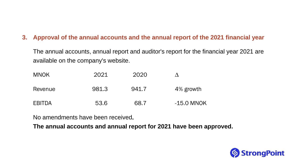### **3. Approval of the annual accounts and the annual report of the 2021 financial year**

The annual accounts, annual report and auditor's report for the financial year 2021 are available on the company's website.

| <b>MNOK</b>   | 2021  | 2020  |            |
|---------------|-------|-------|------------|
| Revenue       | 981.3 | 941.7 | 4% growth  |
| <b>EBITDA</b> | 53.6  | 68.7  | -15 O MNOK |

No amendments have been received.

**The annual accounts and annual report for 2021 have been approved.**

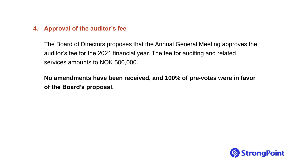### **4. Approval of the auditor's fee**

The Board of Directors proposes that the Annual General Meeting approves the auditor's fee for the 2021 financial year. The fee for auditing and related services amounts to NOK 500,000.

**No amendments have been received, and 100% of pre-votes were in favor of the Board's proposal.** 

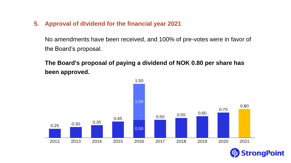**5. Approval of dividend for the financial year 2021**

No amendments have been received, and 100% of pre-votes were in favor of the Board's proposal.

**The Board's proposal of paying a dividend of NOK 0.80 per share has been approved.**



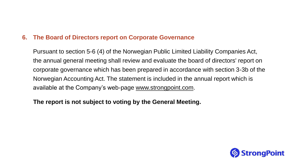### **6. The Board of Directors report on Corporate Governance**

Pursuant to section 5-6 (4) of the Norwegian Public Limited Liability Companies Act, the annual general meeting shall review and evaluate the board of directors' report on corporate governance which has been prepared in accordance with section 3-3b of the Norwegian Accounting Act. The statement is included in the annual report which is available at the Company's web-page [www.strongpoint.com](http://www.strongpoint.com/).

### **The report is not subject to voting by the General Meeting.**

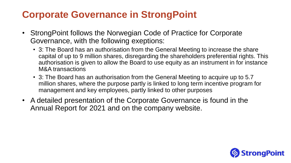### **Corporate Governance in StrongPoint**

- StrongPoint follows the Norwegian Code of Practice for Corporate Governance, with the following exeptions:
	- 3: The Board has an authorisation from the General Meeting to increase the share capital of up to 9 million shares, disregarding the shareholders preferential rights. This authorisation is given to allow the Board to use equity as an instrument in for instance M&A transactions
	- 3: The Board has an authorisation from the General Meeting to acquire up to 5.7 million shares, where the purpose partly is linked to long term incentive program for management and key employees, partly linked to other purposes
- A detailed presentation of the Corporate Governance is found in the Annual Report for 2021 and on the company website.

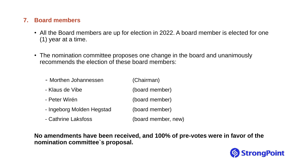### **7. Board members**

- All the Board members are up for election in 2022. A board member is elected for one (1) year at a time.
- The nomination committee proposes one change in the board and unanimously recommends the election of these board members:

| - Morthen Johannessen     | (Chairman)          |
|---------------------------|---------------------|
| - Klaus de Vibe           | (board member)      |
| - Peter Wirén             | (board member)      |
| - Ingeborg Molden Hegstad | (board member)      |
| - Cathrine Laksfoss       | (board member, new) |

**No amendments have been received, and 100% of pre-votes were in favor of the nomination committee`s proposal.** 

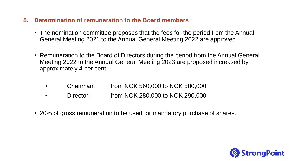### **8. Determination of remuneration to the Board members**

- The nomination committee proposes that the fees for the period from the Annual General Meeting 2021 to the Annual General Meeting 2022 are approved.
- Remuneration to the Board of Directors during the period from the Annual General Meeting 2022 to the Annual General Meeting 2023 are proposed increased by approximately 4 per cent.
	- Chairman: from NOK 560,000 to NOK 580,000
	- Director: from NOK 280,000 to NOK 290,000
- 20% of gross remuneration to be used for mandatory purchase of shares.

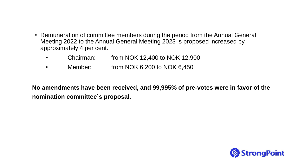- Remuneration of committee members during the period from the Annual General Meeting 2022 to the Annual General Meeting 2023 is proposed increased by approximately 4 per cent.
	- Chairman: from NOK 12,400 to NOK 12,900
	- Member: from NOK 6,200 to NOK 6,450

**No amendments have been received, and 99,995% of pre-votes were in favor of the nomination committee`s proposal.** 

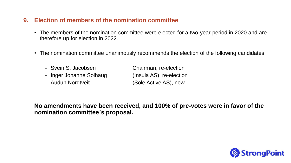### **9. Election of members of the nomination committee**

- The members of the nomination committee were elected for a two-year period in 2020 and are therefore up for election in 2022.
- The nomination committee unanimously recommends the election of the following candidates:
	- Svein S. Jacobsen Chairman, re-election - Inger Johanne Solhaug (Insula AS), re-election
	- Audun Nordtveit (Sole Active AS), new

**No amendments have been received, and 100% of pre-votes were in favor of the nomination committee`s proposal.** 

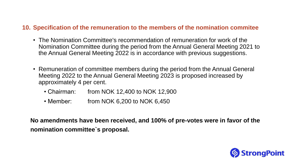### **10. Specification of the remuneration to the members of the nomination commitee**

- The Nomination Committee's recommendation of remuneration for work of the Nomination Committee during the period from the Annual General Meeting 2021 to the Annual General Meeting 2022 is in accordance with previous suggestions.
- Remuneration of committee members during the period from the Annual General Meeting 2022 to the Annual General Meeting 2023 is proposed increased by approximately 4 per cent.
	- Chairman: from NOK 12,400 to NOK 12,900
	- Member: from NOK 6,200 to NOK 6,450

**No amendments have been received, and 100% of pre-votes were in favor of the nomination committee`s proposal.** 

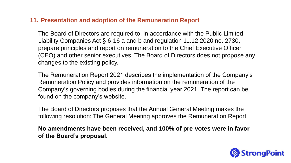### **11. Presentation and adoption of the Remuneration Report**

The Board of Directors are required to, in accordance with the Public Limited Liability Companies Act § 6-16 a and b and regulation 11.12.2020 no. 2730, prepare principles and report on remuneration to the Chief Executive Officer (CEO) and other senior executives. The Board of Directors does not propose any changes to the existing policy.

The Remuneration Report 2021 describes the implementation of the Company's Remuneration Policy and provides information on the remuneration of the Company's governing bodies during the financial year 2021. The report can be found on the company's website.

The Board of Directors proposes that the Annual General Meeting makes the following resolution: The General Meeting approves the Remuneration Report.

**No amendments have been received, and 100% of pre-votes were in favor of the Board's proposal.** 

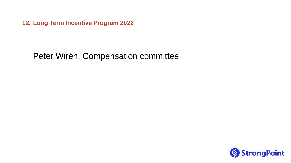**12. Long Term Incentive Program 2022**

### Peter Wirén, Compensation committee

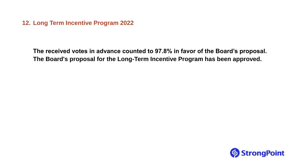**12. Long Term Incentive Program 2022**

**The received votes in advance counted to 97.8% in favor of the Board's proposal. The Board's proposal for the Long-Term Incentive Program has been approved.**

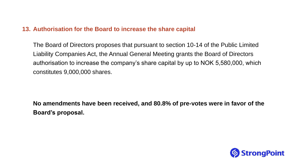### **13. Authorisation for the Board to increase the share capital**

The Board of Directors proposes that pursuant to section 10-14 of the Public Limited Liability Companies Act, the Annual General Meeting grants the Board of Directors authorisation to increase the company's share capital by up to NOK 5,580,000, which constitutes 9,000,000 shares.

**No amendments have been received, and 80.8% of pre-votes were in favor of the Board's proposal.** 

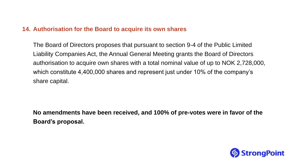### **14. Authorisation for the Board to acquire its own shares**

The Board of Directors proposes that pursuant to section 9-4 of the Public Limited Liability Companies Act, the Annual General Meeting grants the Board of Directors authorisation to acquire own shares with a total nominal value of up to NOK 2,728,000, which constitute 4,400,000 shares and represent just under 10% of the company's share capital.

**No amendments have been received, and 100% of pre-votes were in favor of the Board's proposal.**